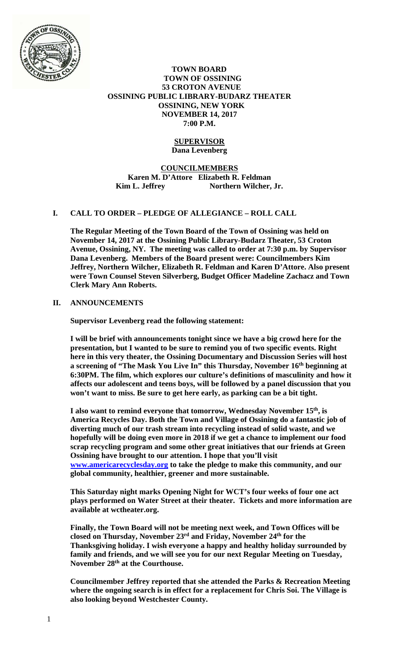

#### **TOWN BOARD TOWN OF OSSINING 53 CROTON AVENUE OSSINING PUBLIC LIBRARY-BUDARZ THEATER OSSINING, NEW YORK NOVEMBER 14, 2017 7:00 P.M.**

## **SUPERVISOR Dana Levenberg**

# **COUNCILMEMBERS Karen M. D'Attore Elizabeth R. Feldman Kim L. Jeffrey Northern Wilcher, Jr.**

# **I. CALL TO ORDER – PLEDGE OF ALLEGIANCE – ROLL CALL**

**The Regular Meeting of the Town Board of the Town of Ossining was held on November 14, 2017 at the Ossining Public Library-Budarz Theater, 53 Croton Avenue, Ossining, NY. The meeting was called to order at 7:30 p.m. by Supervisor Dana Levenberg. Members of the Board present were: Councilmembers Kim Jeffrey, Northern Wilcher, Elizabeth R. Feldman and Karen D'Attore. Also present were Town Counsel Steven Silverberg, Budget Officer Madeline Zachacz and Town Clerk Mary Ann Roberts.** 

## **II. ANNOUNCEMENTS**

**Supervisor Levenberg read the following statement:** 

**I will be brief with announcements tonight since we have a big crowd here for the presentation, but I wanted to be sure to remind you of two specific events. Right here in this very theater, the Ossining Documentary and Discussion Series will host a screening of "The Mask You Live In" this Thursday, November 16th beginning at 6:30PM. The film, which explores our culture's definitions of masculinity and how it affects our adolescent and teens boys, will be followed by a panel discussion that you won't want to miss. Be sure to get here early, as parking can be a bit tight.** 

**I also want to remind everyone that tomorrow, Wednesday November 15th, is America Recycles Day. Both the Town and Village of Ossining do a fantastic job of diverting much of our trash stream into recycling instead of solid waste, and we hopefully will be doing even more in 2018 if we get a chance to implement our food scrap recycling program and some other great initiatives that our friends at Green Ossining have brought to our attention. I hope that you'll visit www.americarecyclesday.org to take the pledge to make this community, and our global community, healthier, greener and more sustainable.** 

**This Saturday night marks Opening Night for WCT's four weeks of four one act plays performed on Water Street at their theater. Tickets and more information are available at wctheater.org.** 

**Finally, the Town Board will not be meeting next week, and Town Offices will be closed on Thursday, November 23rd and Friday, November 24th for the Thanksgiving holiday. I wish everyone a happy and healthy holiday surrounded by family and friends, and we will see you for our next Regular Meeting on Tuesday, November 28th at the Courthouse.** 

**Councilmember Jeffrey reported that she attended the Parks & Recreation Meeting where the ongoing search is in effect for a replacement for Chris Soi. The Village is also looking beyond Westchester County.**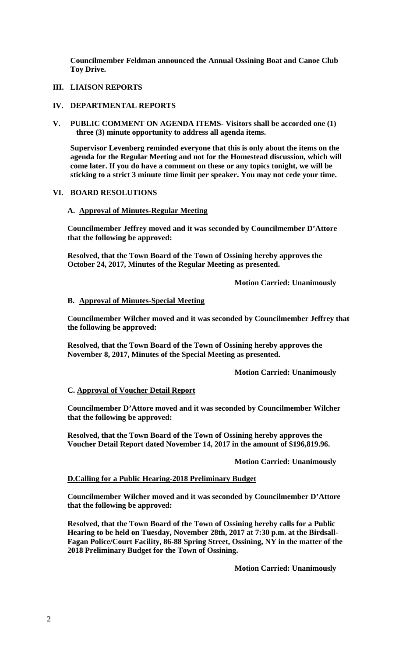**Councilmember Feldman announced the Annual Ossining Boat and Canoe Club Toy Drive.** 

# **III. LIAISON REPORTS**

#### **IV. DEPARTMENTAL REPORTS**

**V. PUBLIC COMMENT ON AGENDA ITEMS- Visitors shall be accorded one (1) three (3) minute opportunity to address all agenda items.**

**Supervisor Levenberg reminded everyone that this is only about the items on the agenda for the Regular Meeting and not for the Homestead discussion, which will come later. If you do have a comment on these or any topics tonight, we will be sticking to a strict 3 minute time limit per speaker. You may not cede your time.** 

## **VI. BOARD RESOLUTIONS**

## **A. Approval of Minutes-Regular Meeting**

**Councilmember Jeffrey moved and it was seconded by Councilmember D'Attore that the following be approved:** 

**Resolved, that the Town Board of the Town of Ossining hereby approves the October 24, 2017, Minutes of the Regular Meeting as presented.** 

 **Motion Carried: Unanimously** 

#### **B. Approval of Minutes-Special Meeting**

**Councilmember Wilcher moved and it was seconded by Councilmember Jeffrey that the following be approved:** 

**Resolved, that the Town Board of the Town of Ossining hereby approves the November 8, 2017, Minutes of the Special Meeting as presented.** 

 **Motion Carried: Unanimously** 

## **C. Approval of Voucher Detail Report**

**Councilmember D'Attore moved and it was seconded by Councilmember Wilcher that the following be approved:** 

**Resolved, that the Town Board of the Town of Ossining hereby approves the Voucher Detail Report dated November 14, 2017 in the amount of \$196,819.96.** 

 **Motion Carried: Unanimously**

## **D.Calling for a Public Hearing-2018 Preliminary Budget**

**Councilmember Wilcher moved and it was seconded by Councilmember D'Attore that the following be approved:** 

**Resolved, that the Town Board of the Town of Ossining hereby calls for a Public Hearing to be held on Tuesday, November 28th, 2017 at 7:30 p.m. at the Birdsall-Fagan Police/Court Facility, 86-88 Spring Street, Ossining, NY in the matter of the 2018 Preliminary Budget for the Town of Ossining.** 

 **Motion Carried: Unanimously**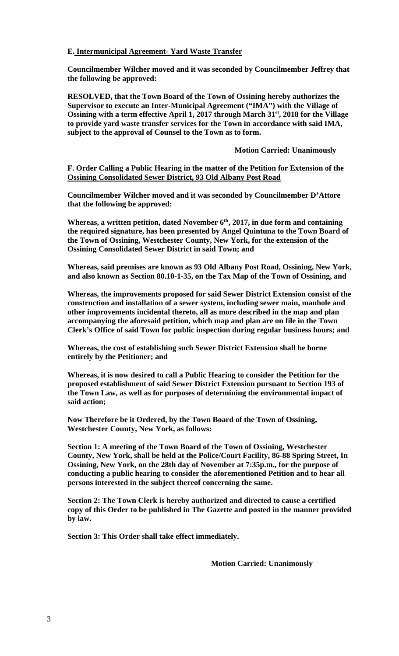# **E. Intermunicipal Agreement- Yard Waste Transfer**

**Councilmember Wilcher moved and it was seconded by Councilmember Jeffrey that the following be approved:** 

**RESOLVED, that the Town Board of the Town of Ossining hereby authorizes the Supervisor to execute an Inter-Municipal Agreement ("IMA") with the Village of Ossining with a term effective April 1, 2017 through March 31st, 2018 for the Village to provide yard waste transfer services for the Town in accordance with said IMA, subject to the approval of Counsel to the Town as to form.** 

#### **Motion Carried: Unanimously**

## **F. Order Calling a Public Hearing in the matter of the Petition for Extension of the Ossining Consolidated Sewer District, 93 Old Albany Post Road**

**Councilmember Wilcher moved and it was seconded by Councilmember D'Attore that the following be approved:** 

Whereas, a written petition, dated November 6<sup>th</sup>, 2017, in due form and containing **the required signature, has been presented by Angel Quintuna to the Town Board of the Town of Ossining, Westchester County, New York, for the extension of the Ossining Consolidated Sewer District in said Town; and** 

**Whereas, said premises are known as 93 Old Albany Post Road, Ossining, New York, and also known as Section 80.10-1-35, on the Tax Map of the Town of Ossining, and** 

**Whereas, the improvements proposed for said Sewer District Extension consist of the construction and installation of a sewer system, including sewer main, manhole and other improvements incidental thereto, all as more described in the map and plan accompanying the aforesaid petition, which map and plan are on file in the Town Clerk's Office of said Town for public inspection during regular business hours; and** 

**Whereas, the cost of establishing such Sewer District Extension shall be borne entirely by the Petitioner; and** 

**Whereas, it is now desired to call a Public Hearing to consider the Petition for the proposed establishment of said Sewer District Extension pursuant to Section 193 of the Town Law, as well as for purposes of determining the environmental impact of said action;** 

**Now Therefore be it Ordered, by the Town Board of the Town of Ossining, Westchester County, New York, as follows:** 

**Section 1: A meeting of the Town Board of the Town of Ossining, Westchester County, New York, shall be held at the Police/Court Facility, 86-88 Spring Street, In Ossining, New York, on the 28th day of November at 7:35p.m., for the purpose of conducting a public hearing to consider the aforementioned Petition and to hear all persons interested in the subject thereof concerning the same.** 

**Section 2: The Town Clerk is hereby authorized and directed to cause a certified copy of this Order to be published in The Gazette and posted in the manner provided by law.** 

**Section 3: This Order shall take effect immediately.** 

 **Motion Carried: Unanimously**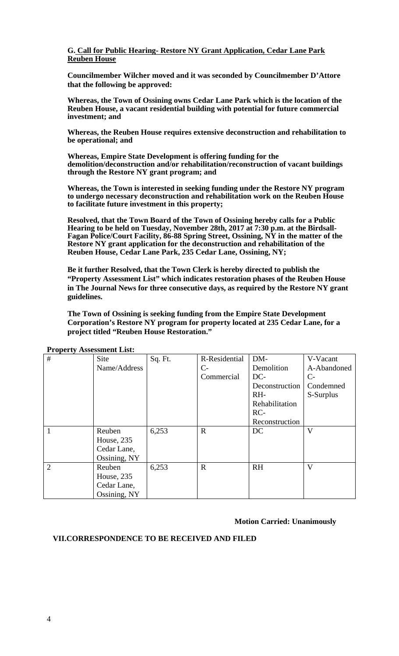## **G. Call for Public Hearing- Restore NY Grant Application, Cedar Lane Park Reuben House**

**Councilmember Wilcher moved and it was seconded by Councilmember D'Attore that the following be approved:** 

**Whereas, the Town of Ossining owns Cedar Lane Park which is the location of the Reuben House, a vacant residential building with potential for future commercial investment; and** 

**Whereas, the Reuben House requires extensive deconstruction and rehabilitation to be operational; and** 

**Whereas, Empire State Development is offering funding for the demolition/deconstruction and/or rehabilitation/reconstruction of vacant buildings through the Restore NY grant program; and** 

**Whereas, the Town is interested in seeking funding under the Restore NY program to undergo necessary deconstruction and rehabilitation work on the Reuben House to facilitate future investment in this property;** 

**Resolved, that the Town Board of the Town of Ossining hereby calls for a Public** Hearing to be held on Tuesday, November 28th, 2017 at 7:30 p.m. at the Birdsall-**Fagan Police/Court Facility, 86-88 Spring Street, Ossining, NY in the matter of the Restore NY grant application for the deconstruction and rehabilitation of the Reuben House, Cedar Lane Park, 235 Cedar Lane, Ossining, NY;**

**Be it further Resolved, that the Town Clerk is hereby directed to publish the "Property Assessment List" which indicates restoration phases of the Reuben House in The Journal News for three consecutive days, as required by the Restore NY grant guidelines.**

**The Town of Ossining is seeking funding from the Empire State Development Corporation's Restore NY program for property located at 235 Cedar Lane, for a project titled "Reuben House Restoration."** 

| #              | Site         | Sq. Ft. | R-Residential | DM-            | V-Vacant    |
|----------------|--------------|---------|---------------|----------------|-------------|
|                | Name/Address |         | $C-$          | Demolition     | A-Abandoned |
|                |              |         | Commercial    | DC-            | $C-$        |
|                |              |         |               | Deconstruction | Condemned   |
|                |              |         |               | RH-            | S-Surplus   |
|                |              |         |               | Rehabilitation |             |
|                |              |         |               | $RC-$          |             |
|                |              |         |               | Reconstruction |             |
| 1              | Reuben       | 6,253   | $\mathbf R$   | DC             | V           |
|                | House, 235   |         |               |                |             |
|                | Cedar Lane,  |         |               |                |             |
|                | Ossining, NY |         |               |                |             |
| $\overline{2}$ | Reuben       | 6,253   | $\mathbf R$   | <b>RH</b>      | V           |
|                | House, 235   |         |               |                |             |
|                | Cedar Lane,  |         |               |                |             |
|                | Ossining, NY |         |               |                |             |

**Property Assessment List:** 

**Motion Carried: Unanimously** 

# **VII.CORRESPONDENCE TO BE RECEIVED AND FILED**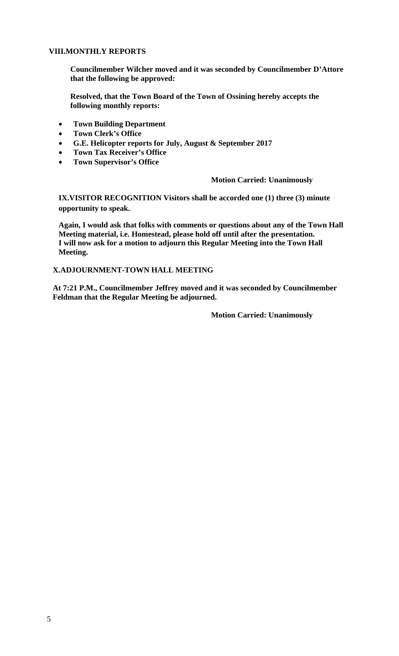# **VIII.MONTHLY REPORTS**

**Councilmember Wilcher moved and it was seconded by Councilmember D'Attore that the following be approved:** 

**Resolved, that the Town Board of the Town of Ossining hereby accepts the following monthly reports:** 

- **Town Building Department**
- **Town Clerk's Office**
- **G.E. Helicopter reports for July, August & September 2017**
- **Town Tax Receiver's Office**
- **Town Supervisor's Office**

# **Motion Carried: Unanimously**

**IX.VISITOR RECOGNITION Visitors shall be accorded one (1) three (3) minute opportunity to speak.** 

**Again, I would ask that folks with comments or questions about any of the Town Hall Meeting material, i.e. Homestead, please hold off until after the presentation. I will now ask for a motion to adjourn this Regular Meeting into the Town Hall Meeting.** 

# **X.ADJOURNMENT-TOWN HALL MEETING**

**At 7:21 P.M., Councilmember Jeffrey moved and it was seconded by Councilmember Feldman that the Regular Meeting be adjourned.** 

**Motion Carried: Unanimously**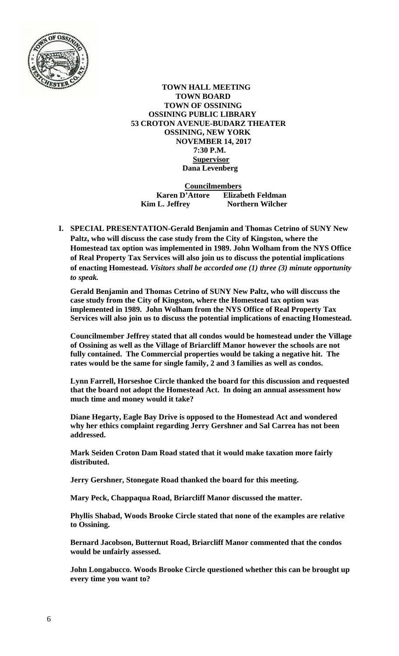

 **TOWN HALL MEETING TOWN BOARD TOWN OF OSSINING OSSINING PUBLIC LIBRARY 53 CROTON AVENUE-BUDARZ THEATER OSSINING, NEW YORK NOVEMBER 14, 2017 7:30 P.M. Supervisor Dana Levenberg** 

 **Councilmembers Karen D'Attore Elizabeth Feldman Kim L. Jeffrey Northern Wilcher** 

**I. SPECIAL PRESENTATION-Gerald Benjamin and Thomas Cetrino of SUNY New Paltz, who will discuss the case study from the City of Kingston, where the Homestead tax option was implemented in 1989. John Wolham from the NYS Office of Real Property Tax Services will also join us to discuss the potential implications of enacting Homestead.** *Visitors shall be accorded one (1) three (3) minute opportunity to speak.* 

**Gerald Benjamin and Thomas Cetrino of SUNY New Paltz, who will disccuss the case study from the City of Kingston, where the Homestead tax option was implemented in 1989. John Wolham from the NYS Office of Real Property Tax Services will also join us to discuss the potential implications of enacting Homestead.** 

**Councilmember Jeffrey stated that all condos would be homestead under the Village of Ossining as well as the Village of Briarcliff Manor however the schools are not fully contained. The Commercial properties would be taking a negative hit. The rates would be the same for single family, 2 and 3 families as well as condos.** 

**Lynn Farrell, Horseshoe Circle thanked the board for this discussion and requested that the board not adopt the Homestead Act. In doing an annual assessment how much time and money would it take?** 

**Diane Hegarty, Eagle Bay Drive is opposed to the Homestead Act and wondered why her ethics complaint regarding Jerry Gershner and Sal Carrea has not been addressed.** 

**Mark Seiden Croton Dam Road stated that it would make taxation more fairly distributed.** 

**Jerry Gershner, Stonegate Road thanked the board for this meeting.** 

**Mary Peck, Chappaqua Road, Briarcliff Manor discussed the matter.** 

**Phyllis Shabad, Woods Brooke Circle stated that none of the examples are relative to Ossining.** 

**Bernard Jacobson, Butternut Road, Briarcliff Manor commented that the condos would be unfairly assessed.** 

**John Longabucco. Woods Brooke Circle questioned whether this can be brought up every time you want to?**